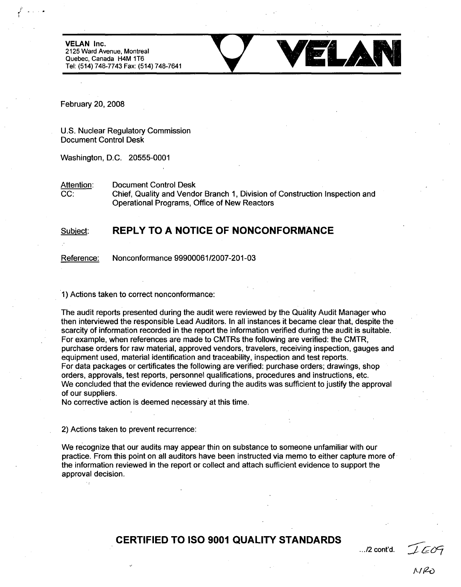**VELAN** Inc. **2125** Ward Avenue, Montreal Quebec, Canada H4M 1T6 Tel: (514) 748-7743 Fax: (514) 748-7641



February 20, **2008**

**U.S.** Nuclear Regulatory Commission Document Control Desk

Washington, **D.C. 20555-0001**

Attention: Document Control Desk **CC:** Chief, Quality and Vendor Branch **1,** Division of Construction Inspection and Operational Programs, Office of New Reactors

## Subject: **REPLY TO A NOTICE OF NONCONFORMANCE**

Reference: Nonconformance **99900061/2007-201-03**

**1)** Actions taken to correct nonconformance:

The audit reports presented during the audit were reviewed **by** the Quality Audit Manager who then interviewed the responsible Lead Auditors. In all instances it became clear that, despite the scarcity of information recorded in the report the information verified during the audit is suitable. For example, when references are made to CMTRs the following are verified: the CMTR, purchase orders for raw material, approved vendors, travelers, receiving inspection, gauges and equipment used, material identification and traceability, inspection and test reports. For data packages or certificates the following are verified: purchase orders; drawings, shop orders, approvals, test reports, personnel qualifications, procedures and instructions, etc. We concluded that the evidence reviewed during the audits was sufficient to justify the approval of our suppliers.

No corrective action is deemed necessary at this time.

2) Actions taken to prevent recurrence:

We recognize that our audits may appear thin on substance to someone unfamiliar with our practice. From this point on all auditors have been instructed via memo to either capture more of the information reviewed in the report or collect and attach sufficient evidence to support the approval decision.

## CERTIFIED TO **ISO 9001 QUALITY STANDARDS**

.../2 cont'd.